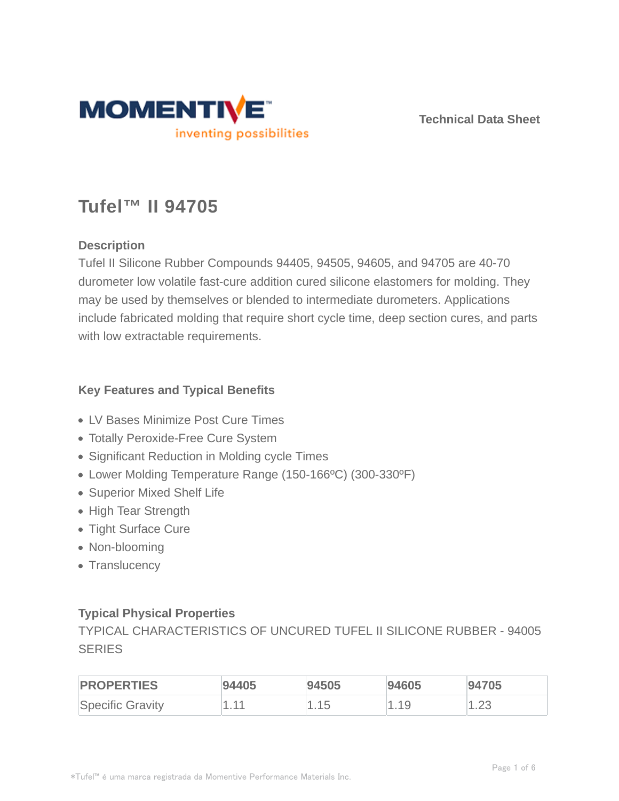

**Technical Data Sheet**

# **Tufel™ II 94705**

# **Description**

Tufel II Silicone Rubber Compounds 94405, 94505, 94605, and 94705 are 40-70 durometer low volatile fast-cure addition cured silicone elastomers for molding. They may be used by themselves or blended to intermediate durometers. Applications include fabricated molding that require short cycle time, deep section cures, and parts with low extractable requirements.

# **Key Features and Typical Benefits**

- LV Bases Minimize Post Cure Times
- Totally Peroxide-Free Cure System
- Significant Reduction in Molding cycle Times
- Lower Molding Temperature Range (150-166ºC) (300-330ºF)
- Superior Mixed Shelf Life
- High Tear Strength
- Tight Surface Cure
- Non-blooming
- Translucency

# **Typical Physical Properties**

TYPICAL CHARACTERISTICS OF UNCURED TUFEL II SILICONE RUBBER - 94005 **SERIES** 

| <b>PROPERTIES</b>       | 94405 | 94505 | 94605 | 94705  |
|-------------------------|-------|-------|-------|--------|
| <b>Specific Gravity</b> | $-44$ | 15    | l.19  | ں کہ ا |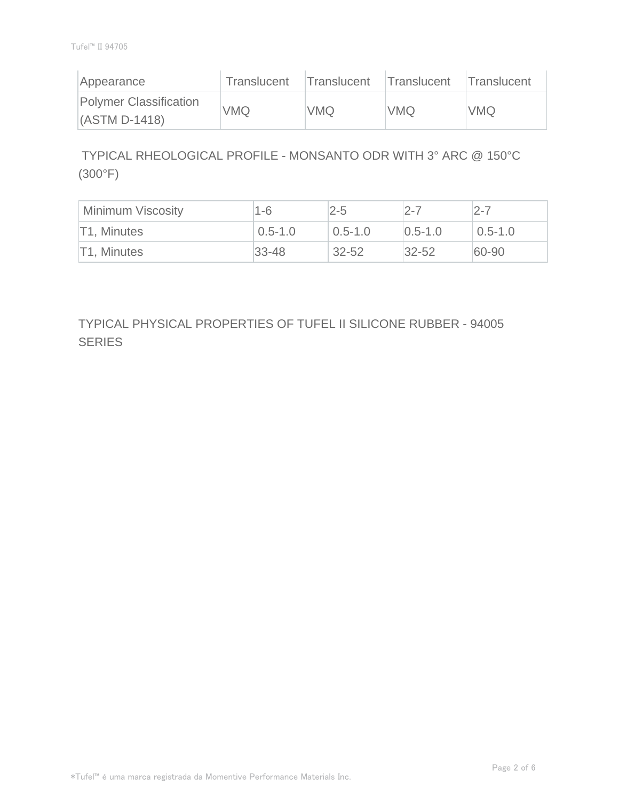| Appearance                                | Translucent | Translucent Translucent |            | Translucent |
|-------------------------------------------|-------------|-------------------------|------------|-------------|
| Polymer Classification<br>$(ASTM D-1418)$ | <b>VMQ</b>  | <b>VMQ</b>              | <b>VMQ</b> | <b>VMQ</b>  |

 TYPICAL RHEOLOGICAL PROFILE - MONSANTO ODR WITH 3° ARC @ 150°C (300°F)

| Minimum Viscosity | 1-6         | $2 - 5$     | 2-7           | $2 - 7$     |
|-------------------|-------------|-------------|---------------|-------------|
| T1, Minutes       | $0.5 - 1.0$ | $0.5 - 1.0$ | $ 0.5 - 1.0 $ | $0.5 - 1.0$ |
| T1, Minutes       | $33 - 48$   | $32 - 52$   | $32 - 52$     | 60-90       |

TYPICAL PHYSICAL PROPERTIES OF TUFEL II SILICONE RUBBER - 94005 **SERIES**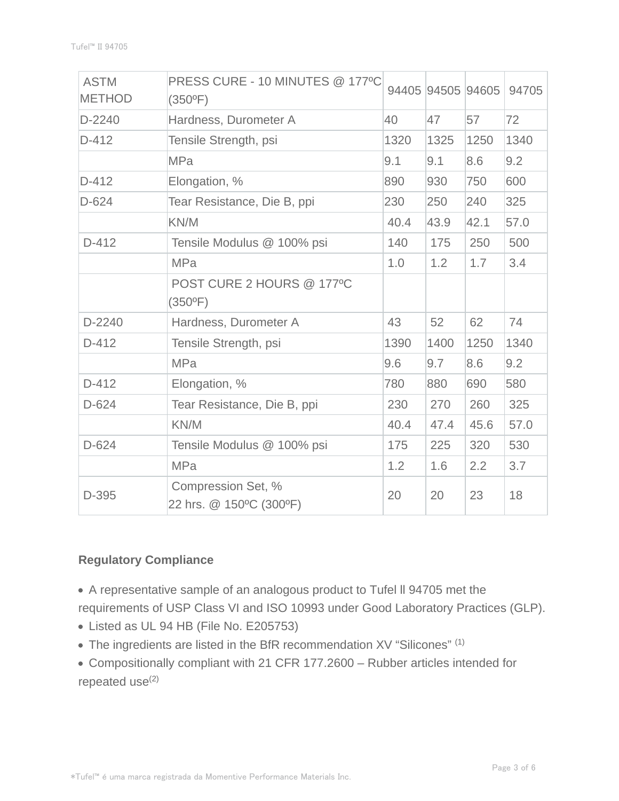| <b>ASTM</b><br><b>METHOD</b> | PRESS CURE - 10 MINUTES @ 177°C<br>$(350^{\circ}F)$ |      | 94405 94505 94605 |      | 94705 |
|------------------------------|-----------------------------------------------------|------|-------------------|------|-------|
| $D-2240$                     | Hardness, Durometer A                               | 40   | 47                | 57   | 72    |
| $D-412$                      | Tensile Strength, psi                               | 1320 | 1325              | 1250 | 1340  |
|                              | <b>MPa</b>                                          | 9.1  | 9.1               | 8.6  | 9.2   |
| $D-412$                      | Elongation, %                                       | 890  | 930               | 750  | 600   |
| $D-624$                      | Tear Resistance, Die B, ppi                         | 230  | 250               | 240  | 325   |
|                              | KN/M                                                | 40.4 | 43.9              | 42.1 | 57.0  |
| $D-412$                      | Tensile Modulus @ 100% psi                          | 140  | 175               | 250  | 500   |
|                              | <b>MPa</b>                                          | 1.0  | 1.2               | 1.7  | 3.4   |
|                              | POST CURE 2 HOURS @ 177°C<br>$(350^{\circ}F)$       |      |                   |      |       |
| D-2240                       | Hardness, Durometer A                               | 43   | 52                | 62   | 74    |
| $D-412$                      | Tensile Strength, psi                               | 1390 | 1400              | 1250 | 1340  |
|                              | <b>MPa</b>                                          | 9.6  | 9.7               | 8.6  | 9.2   |
| $D-412$                      | Elongation, %                                       | 780  | 880               | 690  | 580   |
| $D-624$                      | Tear Resistance, Die B, ppi                         | 230  | 270               | 260  | 325   |
|                              | KN/M                                                | 40.4 | 47.4              | 45.6 | 57.0  |
| $D-624$                      | Tensile Modulus @ 100% psi                          | 175  | 225               | 320  | 530   |
|                              | <b>MPa</b>                                          | 1.2  | 1.6               | 2.2  | 3.7   |
| D-395                        | Compression Set, %<br>22 hrs. @ 150°C (300°F)       | 20   | 20                | 23   | 18    |

# **Regulatory Compliance**

A representative sample of an analogous product to Tufel ll 94705 met the requirements of USP Class VI and ISO 10993 under Good Laboratory Practices (GLP).

- Listed as UL 94 HB (File No. E205753)
- The ingredients are listed in the BfR recommendation XV "Silicones" (1)
- Compositionally compliant with 21 CFR 177.2600 Rubber articles intended for repeated use<sup>(2)</sup>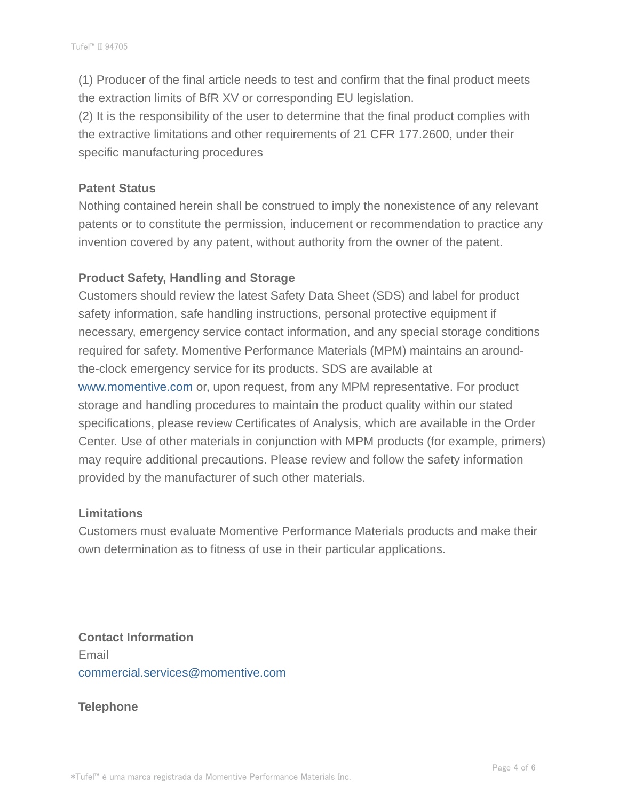(1) Producer of the final article needs to test and confirm that the final product meets the extraction limits of BfR XV or corresponding EU legislation.

(2) It is the responsibility of the user to determine that the final product complies with the extractive limitations and other requirements of 21 CFR 177.2600, under their specific manufacturing procedures

#### **Patent Status**

Nothing contained herein shall be construed to imply the nonexistence of any relevant patents or to constitute the permission, inducement or recommendation to practice any invention covered by any patent, without authority from the owner of the patent.

# **Product Safety, Handling and Storage**

Customers should review the latest Safety Data Sheet (SDS) and label for product safety information, safe handling instructions, personal protective equipment if necessary, emergency service contact information, and any special storage conditions required for safety. Momentive Performance Materials (MPM) maintains an aroundthe-clock emergency service for its products. SDS are available at www.momentive.com or, upon request, from any MPM representative. For product storage and handling procedures to maintain the product quality within our stated specifications, please review Certificates of Analysis, which are available in the Order Center. Use of other materials in conjunction with MPM products (for example, primers) may require additional precautions. Please review and follow the safety information provided by the manufacturer of such other materials.

# **Limitations**

Customers must evaluate Momentive Performance Materials products and make their own determination as to fitness of use in their particular applications.

**Contact Information** Email commercial.services@momentive.com

# **Telephone**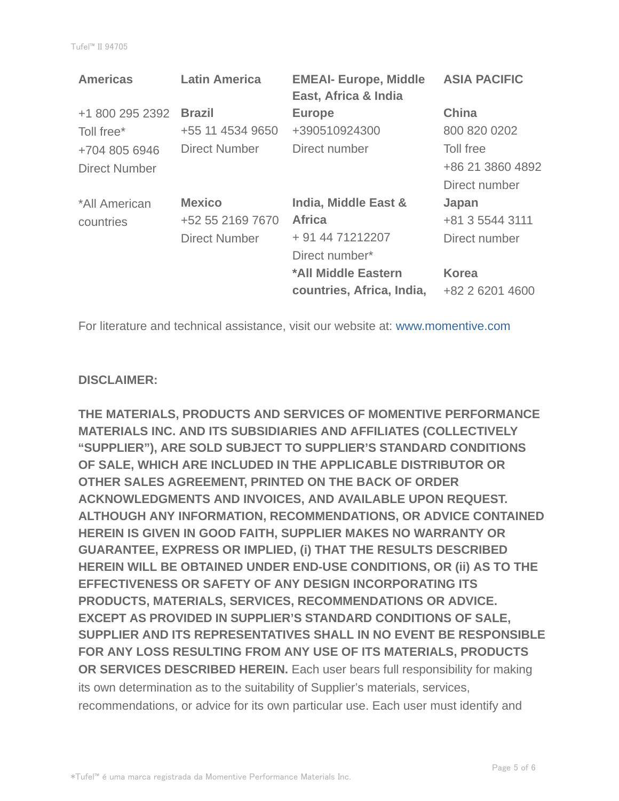| <b>Americas</b>      | <b>Latin America</b> | <b>EMEAI- Europe, Middle</b><br>East, Africa & India | <b>ASIA PACIFIC</b> |
|----------------------|----------------------|------------------------------------------------------|---------------------|
| +1 800 295 2392      | <b>Brazil</b>        | <b>Europe</b>                                        | <b>China</b>        |
| Toll free*           | +55 11 4534 9650     | +390510924300                                        | 800 820 0202        |
| +704 805 6946        | Direct Number        | Direct number                                        | Toll free           |
| <b>Direct Number</b> |                      |                                                      | +86 21 3860 4892    |
|                      |                      |                                                      | Direct number       |
| *All American        | <b>Mexico</b>        | India, Middle East &                                 | Japan               |
| countries            | +52 55 2169 7670     | <b>Africa</b>                                        | +81 3 5544 3111     |
|                      | <b>Direct Number</b> | + 91 44 71212207                                     | Direct number       |
|                      |                      | Direct number*                                       |                     |
|                      |                      | *All Middle Eastern                                  | <b>Korea</b>        |
|                      |                      | countries, Africa, India,                            | +82 2 6201 4600     |

For literature and technical assistance, visit our website at: www.momentive.com

#### **DISCLAIMER:**

**THE MATERIALS, PRODUCTS AND SERVICES OF MOMENTIVE PERFORMANCE MATERIALS INC. AND ITS SUBSIDIARIES AND AFFILIATES (COLLECTIVELY "SUPPLIER"), ARE SOLD SUBJECT TO SUPPLIER'S STANDARD CONDITIONS OF SALE, WHICH ARE INCLUDED IN THE APPLICABLE DISTRIBUTOR OR OTHER SALES AGREEMENT, PRINTED ON THE BACK OF ORDER ACKNOWLEDGMENTS AND INVOICES, AND AVAILABLE UPON REQUEST. ALTHOUGH ANY INFORMATION, RECOMMENDATIONS, OR ADVICE CONTAINED HEREIN IS GIVEN IN GOOD FAITH, SUPPLIER MAKES NO WARRANTY OR GUARANTEE, EXPRESS OR IMPLIED, (i) THAT THE RESULTS DESCRIBED HEREIN WILL BE OBTAINED UNDER END-USE CONDITIONS, OR (ii) AS TO THE EFFECTIVENESS OR SAFETY OF ANY DESIGN INCORPORATING ITS PRODUCTS, MATERIALS, SERVICES, RECOMMENDATIONS OR ADVICE. EXCEPT AS PROVIDED IN SUPPLIER'S STANDARD CONDITIONS OF SALE, SUPPLIER AND ITS REPRESENTATIVES SHALL IN NO EVENT BE RESPONSIBLE FOR ANY LOSS RESULTING FROM ANY USE OF ITS MATERIALS, PRODUCTS OR SERVICES DESCRIBED HEREIN.** Each user bears full responsibility for making its own determination as to the suitability of Supplier's materials, services, recommendations, or advice for its own particular use. Each user must identify and